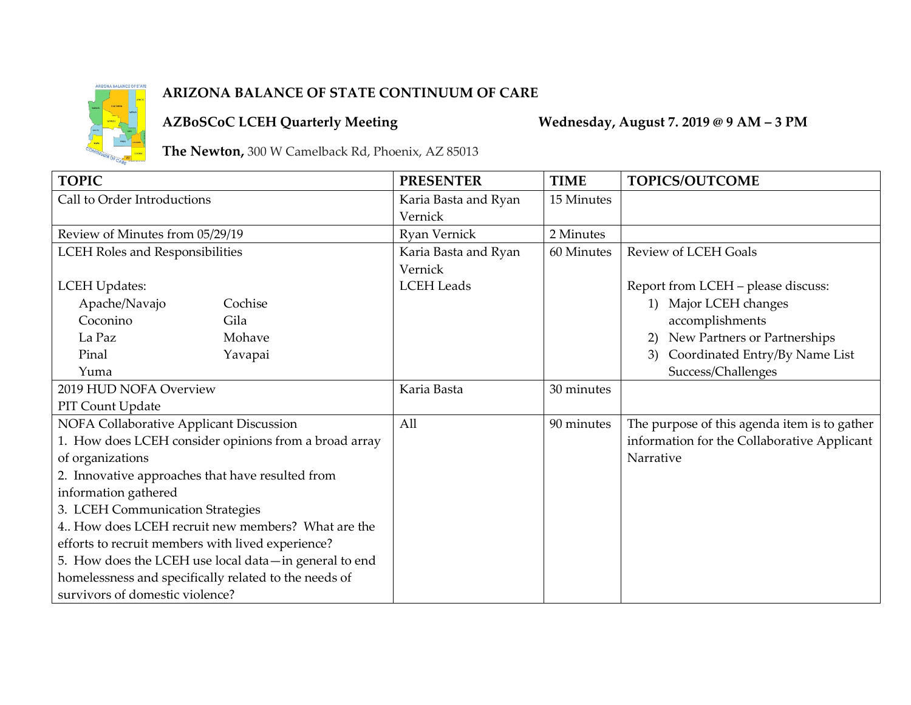

## **ARIZONA BALANCE OF STATE CONTINUUM OF CARE**

**AZBoSCoC LCEH Quarterly Meeting Wednesday, August 7. 2019 @ 9 AM – 3 PM**

**The Newton,** 300 W Camelback Rd, Phoenix, AZ 85013

| <b>TOPIC</b>                                          |         | <b>PRESENTER</b>     | <b>TIME</b> | <b>TOPICS/OUTCOME</b>                        |
|-------------------------------------------------------|---------|----------------------|-------------|----------------------------------------------|
| Call to Order Introductions                           |         | Karia Basta and Ryan | 15 Minutes  |                                              |
|                                                       |         | Vernick              |             |                                              |
| Review of Minutes from 05/29/19                       |         | Ryan Vernick         | 2 Minutes   |                                              |
| <b>LCEH Roles and Responsibilities</b>                |         | Karia Basta and Ryan | 60 Minutes  | <b>Review of LCEH Goals</b>                  |
|                                                       |         | Vernick              |             |                                              |
| <b>LCEH Updates:</b>                                  |         | <b>LCEH</b> Leads    |             | Report from LCEH - please discuss:           |
| Apache/Navajo                                         | Cochise |                      |             | Major LCEH changes<br>1)                     |
| Coconino                                              | Gila    |                      |             | accomplishments                              |
| La Paz                                                | Mohave  |                      |             | New Partners or Partnerships                 |
| Pinal                                                 | Yavapai |                      |             | Coordinated Entry/By Name List<br>3)         |
| Yuma                                                  |         |                      |             | Success/Challenges                           |
| 2019 HUD NOFA Overview                                |         | Karia Basta          | 30 minutes  |                                              |
| PIT Count Update                                      |         |                      |             |                                              |
| NOFA Collaborative Applicant Discussion               |         | All                  | 90 minutes  | The purpose of this agenda item is to gather |
| 1. How does LCEH consider opinions from a broad array |         |                      |             | information for the Collaborative Applicant  |
| of organizations                                      |         |                      |             | Narrative                                    |
| 2. Innovative approaches that have resulted from      |         |                      |             |                                              |
| information gathered                                  |         |                      |             |                                              |
| 3. LCEH Communication Strategies                      |         |                      |             |                                              |
| 4. How does LCEH recruit new members? What are the    |         |                      |             |                                              |
| efforts to recruit members with lived experience?     |         |                      |             |                                              |
| 5. How does the LCEH use local data-in general to end |         |                      |             |                                              |
| homelessness and specifically related to the needs of |         |                      |             |                                              |
| survivors of domestic violence?                       |         |                      |             |                                              |